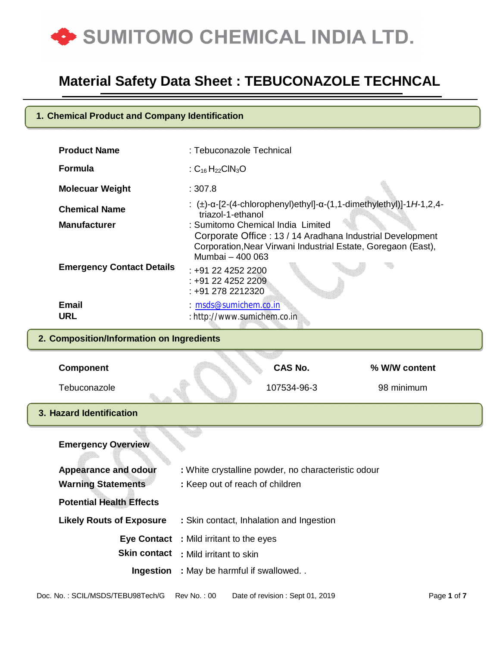

### **1. Chemical Product and Company Identification**

| <b>Product Name</b>                         | : Tebuconazole Technical                                                         |                                   |                                                                                                                            |  |
|---------------------------------------------|----------------------------------------------------------------------------------|-----------------------------------|----------------------------------------------------------------------------------------------------------------------------|--|
| <b>Formula</b>                              | : $C_{16}H_{22}CIN_3O$                                                           |                                   |                                                                                                                            |  |
| <b>Molecuar Weight</b>                      | : 307.8                                                                          |                                   |                                                                                                                            |  |
| <b>Chemical Name</b><br><b>Manufacturer</b> | triazol-1-ethanol                                                                | : Sumitomo Chemical India Limited | : (±)-α-[2-(4-chlorophenyl)ethyl]-α-(1,1-dimethylethyl)]-1H-1,2,4-                                                         |  |
| <b>Emergency Contact Details</b>            | Mumbai - 400 063<br>$: +912242522200$<br>: +91 22 4252 2209<br>$: +912782212320$ |                                   | Corporate Office: 13 / 14 Aradhana Industrial Development<br>Corporation, Near Virwani Industrial Estate, Goregaon (East), |  |
| <b>Email</b><br><b>URL</b>                  | : msds@sumichem.co.in<br>: http://www.sumichem.co.in                             |                                   |                                                                                                                            |  |
| 2. Composition/Information on Ingredients   |                                                                                  |                                   |                                                                                                                            |  |
| <b>Component</b>                            |                                                                                  | CAS No.                           | % W/W content                                                                                                              |  |
| Tebuconazole                                |                                                                                  | 107534-96-3                       | 98 minimum                                                                                                                 |  |
| 3. Hazard Identification                    |                                                                                  |                                   |                                                                                                                            |  |
| <b>Emergency Overview</b>                   |                                                                                  |                                   |                                                                                                                            |  |

| <b>Appearance and odour</b>     | : White crystalline powder, no characteristic odour |
|---------------------------------|-----------------------------------------------------|
| <b>Warning Statements</b>       | : Keep out of reach of children                     |
| <b>Potential Health Effects</b> |                                                     |
| <b>Likely Routs of Exposure</b> | : Skin contact, Inhalation and Ingestion            |
|                                 | <b>Eye Contact</b> : Mild irritant to the eyes      |
|                                 | <b>Skin contact</b> : Mild irritant to skin         |
| Ingestion                       | : May be harmful if swallowed                       |
|                                 |                                                     |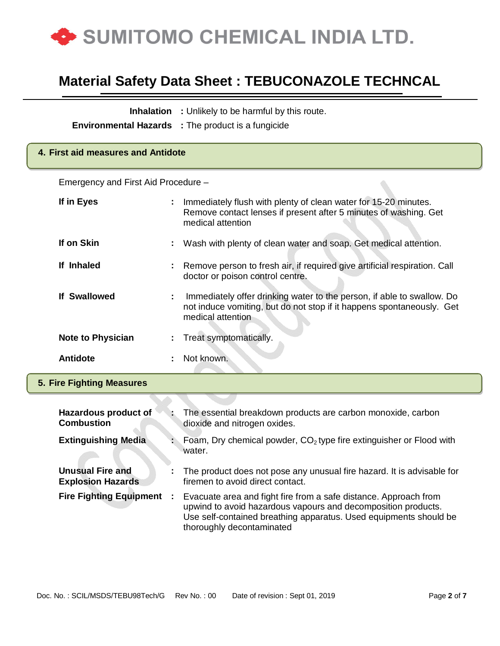

|                                                     |   | <b>Inhalation</b> : Unlikely to be harmful by this route.<br><b>Environmental Hazards</b> : The product is a fungicide                                                                                                              |  |  |
|-----------------------------------------------------|---|-------------------------------------------------------------------------------------------------------------------------------------------------------------------------------------------------------------------------------------|--|--|
| 4. First aid measures and Antidote                  |   |                                                                                                                                                                                                                                     |  |  |
| Emergency and First Aid Procedure -                 |   |                                                                                                                                                                                                                                     |  |  |
| If in Eyes                                          |   | Immediately flush with plenty of clean water for 15-20 minutes.<br>Remove contact lenses if present after 5 minutes of washing. Get<br>medical attention                                                                            |  |  |
| If on Skin                                          |   | Wash with plenty of clean water and soap. Get medical attention.                                                                                                                                                                    |  |  |
| If Inhaled                                          |   | Remove person to fresh air, if required give artificial respiration. Call<br>doctor or poison control centre.                                                                                                                       |  |  |
| <b>If Swallowed</b>                                 | ÷ | Immediately offer drinking water to the person, if able to swallow. Do<br>not induce vomiting, but do not stop if it happens spontaneously. Get<br>medical attention                                                                |  |  |
| <b>Note to Physician</b>                            | ÷ | Treat symptomatically.                                                                                                                                                                                                              |  |  |
| <b>Antidote</b>                                     |   | Not known.                                                                                                                                                                                                                          |  |  |
| <b>5. Fire Fighting Measures</b>                    |   |                                                                                                                                                                                                                                     |  |  |
|                                                     |   |                                                                                                                                                                                                                                     |  |  |
| Hazardous product of<br><b>Combustion</b>           |   | The essential breakdown products are carbon monoxide, carbon<br>dioxide and nitrogen oxides.                                                                                                                                        |  |  |
| <b>Extinguishing Media</b>                          |   | Foam, Dry chemical powder, $CO2$ type fire extinguisher or Flood with<br>water.                                                                                                                                                     |  |  |
| <b>Unusual Fire and</b><br><b>Explosion Hazards</b> |   | The product does not pose any unusual fire hazard. It is advisable for<br>firemen to avoid direct contact.                                                                                                                          |  |  |
| <b>Fire Fighting Equipment</b>                      | ÷ | Evacuate area and fight fire from a safe distance. Approach from<br>upwind to avoid hazardous vapours and decomposition products.<br>Use self-contained breathing apparatus. Used equipments should be<br>thoroughly decontaminated |  |  |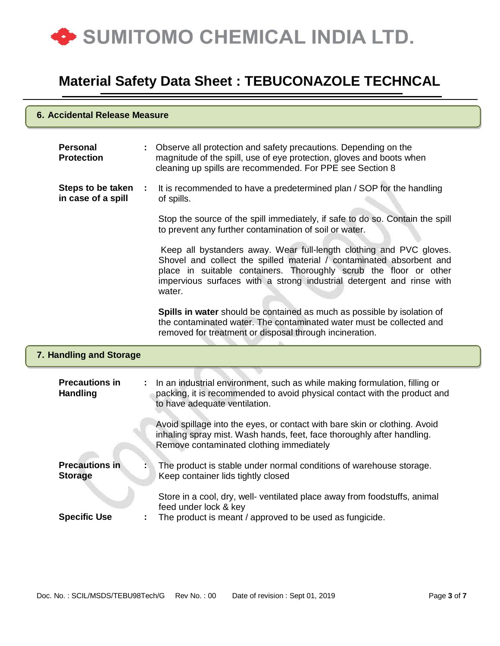

#### **6. Accidental Release Measure**

|   | : Observe all protection and safety precautions. Depending on the<br>magnitude of the spill, use of eye protection, gloves and boots when<br>cleaning up spills are recommended. For PPE see Section 8                                                                                              |
|---|-----------------------------------------------------------------------------------------------------------------------------------------------------------------------------------------------------------------------------------------------------------------------------------------------------|
| ÷ | It is recommended to have a predetermined plan / SOP for the handling<br>of spills.                                                                                                                                                                                                                 |
|   | Stop the source of the spill immediately, if safe to do so. Contain the spill<br>to prevent any further contamination of soil or water.                                                                                                                                                             |
|   | Keep all bystanders away. Wear full-length clothing and PVC gloves.<br>Shovel and collect the spilled material / contaminated absorbent and<br>place in suitable containers. Thoroughly scrub the floor or other<br>impervious surfaces with a strong industrial detergent and rinse with<br>water. |
|   | Spills in water should be contained as much as possible by isolation of<br>the contaminated water. The contaminated water must be collected and<br>removed for treatment or disposal through incineration.                                                                                          |
|   |                                                                                                                                                                                                                                                                                                     |
|   |                                                                                                                                                                                                                                                                                                     |
|   | In an industrial environment, such as while making formulation, filling or<br>packing, it is recommended to avoid physical contact with the product and<br>to have adequate ventilation.                                                                                                            |
|   | Avoid spillage into the eyes, or contact with bare skin or clothing. Avoid<br>inhaling spray mist. Wash hands, feet, face thoroughly after handling.<br>Remove contaminated clothing immediately                                                                                                    |
|   | The product is stable under normal conditions of warehouse storage.<br>Keep container lids tightly closed                                                                                                                                                                                           |
|   | 7. Handling and Storage                                                                                                                                                                                                                                                                             |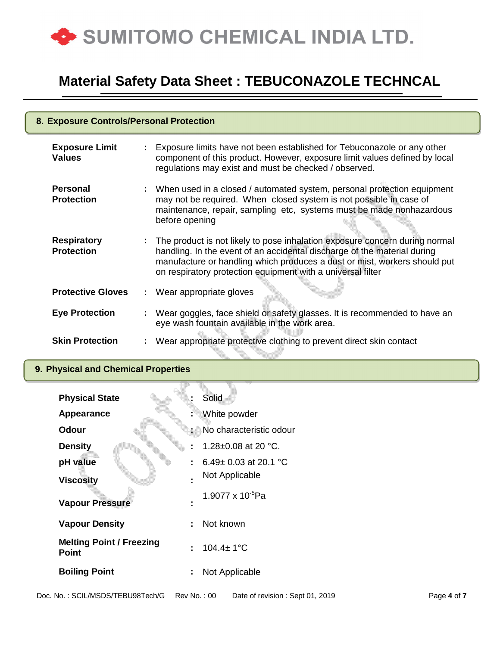

| 8. Exposure Controls/Personal Protection |  |                                                                                                                                                                                                                                                                                                       |  |  |
|------------------------------------------|--|-------------------------------------------------------------------------------------------------------------------------------------------------------------------------------------------------------------------------------------------------------------------------------------------------------|--|--|
| <b>Exposure Limit</b><br><b>Values</b>   |  | : Exposure limits have not been established for Tebuconazole or any other<br>component of this product. However, exposure limit values defined by local<br>regulations may exist and must be checked / observed.                                                                                      |  |  |
| <b>Personal</b><br><b>Protection</b>     |  | : When used in a closed / automated system, personal protection equipment<br>may not be required. When closed system is not possible in case of<br>maintenance, repair, sampling etc, systems must be made nonhazardous<br>before opening                                                             |  |  |
| <b>Respiratory</b><br><b>Protection</b>  |  | : The product is not likely to pose inhalation exposure concern during normal<br>handling. In the event of an accidental discharge of the material during<br>manufacture or handling which produces a dust or mist, workers should put<br>on respiratory protection equipment with a universal filter |  |  |
| <b>Protective Gloves</b>                 |  | : Wear appropriate gloves                                                                                                                                                                                                                                                                             |  |  |
| <b>Eye Protection</b>                    |  | : Wear goggles, face shield or safety glasses. It is recommended to have an<br>eye wash fountain available in the work area.                                                                                                                                                                          |  |  |
| <b>Skin Protection</b>                   |  | Wear appropriate protective clothing to prevent direct skin contact                                                                                                                                                                                                                                   |  |  |

### **9. Physical and Chemical Properties**

| <b>Physical State</b>                           | Ì.                  | Solid                      |
|-------------------------------------------------|---------------------|----------------------------|
| Appearance                                      | t                   | White powder               |
| <b>Odour</b>                                    | i.                  | No characteristic odour    |
| <b>Density</b>                                  | $\blacksquare$      | 1.28 $\pm$ 0.08 at 20 °C.  |
| pH value                                        | ÷                   | 6.49 $\pm$ 0.03 at 20.1 °C |
| <b>Viscosity</b>                                | $\blacksquare$      | Not Applicable             |
| <b>Vapour Pressure</b>                          | ٠<br>$\blacksquare$ | 1.9077 x $10^{-5}$ Pa      |
| <b>Vapour Density</b>                           | ÷                   | Not known                  |
| <b>Melting Point / Freezing</b><br><b>Point</b> | ÷                   | $104.4 \pm 1^{\circ}C$     |
| <b>Boiling Point</b>                            | ÷                   | Not Applicable             |
|                                                 |                     |                            |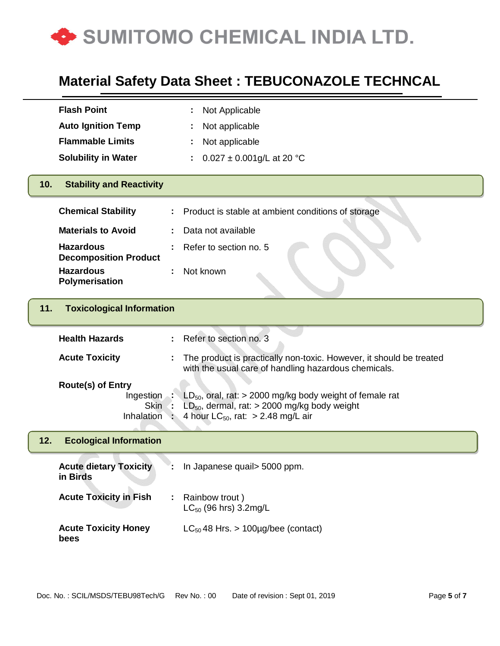

|     | <b>Flash Point</b>                                                 | Not Applicable                                                                                                                                                  |
|-----|--------------------------------------------------------------------|-----------------------------------------------------------------------------------------------------------------------------------------------------------------|
|     | <b>Auto Ignition Temp</b>                                          | Not applicable                                                                                                                                                  |
|     | <b>Flammable Limits</b>                                            | Not applicable                                                                                                                                                  |
|     | <b>Solubility in Water</b>                                         | $0.027 \pm 0.001$ g/L at 20 °C<br>÷.                                                                                                                            |
| 10. | <b>Stability and Reactivity</b>                                    |                                                                                                                                                                 |
|     | <b>Chemical Stability</b>                                          | Product is stable at ambient conditions of storage                                                                                                              |
|     | <b>Materials to Avoid</b>                                          | Data not available                                                                                                                                              |
|     | <b>Hazardous</b><br><b>Decomposition Product</b>                   | Refer to section no. 5                                                                                                                                          |
|     | <b>Hazardous</b><br>Polymerisation                                 | Not known                                                                                                                                                       |
| 11. | <b>Toxicological Information</b>                                   |                                                                                                                                                                 |
|     | <b>Health Hazards</b>                                              | Refer to section no. 3                                                                                                                                          |
|     | <b>Acute Toxicity</b>                                              | The product is practically non-toxic. However, it should be treated<br>with the usual care of handling hazardous chemicals.                                     |
|     | <b>Route(s) of Entry</b><br>Ingestion<br><b>Skin</b><br>Inhalation | $LD_{50}$ , oral, rat: > 2000 mg/kg body weight of female rat<br>$LD_{50}$ , dermal, rat: $>$ 2000 mg/kg body weight<br>4 hour $LC_{50}$ , rat: > 2.48 mg/L air |
| 12. | <b>Ecological Information</b>                                      |                                                                                                                                                                 |
|     | <b>Acute dietary Toxicity</b><br>in Birds                          | In Japanese quail > 5000 ppm.                                                                                                                                   |
|     | <b>Acute Toxicity in Fish</b>                                      | : Rainbow trout)<br>$LC_{50}$ (96 hrs) 3.2mg/L                                                                                                                  |
|     | <b>Acute Toxicity Honey</b><br>bees                                | $LC_{50}$ 48 Hrs. > 100µg/bee (contact)                                                                                                                         |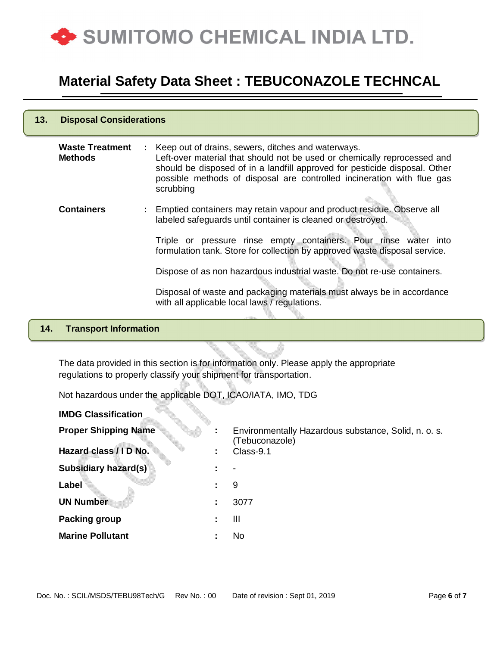

| 13. | <b>Disposal Considerations</b>           |  |                                                                                                                                                                                                                                                                                                       |  |  |
|-----|------------------------------------------|--|-------------------------------------------------------------------------------------------------------------------------------------------------------------------------------------------------------------------------------------------------------------------------------------------------------|--|--|
|     | <b>Waste Treatment</b><br><b>Methods</b> |  | : Keep out of drains, sewers, ditches and waterways.<br>Left-over material that should not be used or chemically reprocessed and<br>should be disposed of in a landfill approved for pesticide disposal. Other<br>possible methods of disposal are controlled incineration with flue gas<br>scrubbing |  |  |
|     | <b>Containers</b>                        |  | : Emptied containers may retain vapour and product residue. Observe all<br>labeled safeguards until container is cleaned or destroyed.                                                                                                                                                                |  |  |
|     |                                          |  | Triple or pressure rinse empty containers. Pour rinse water into<br>formulation tank. Store for collection by approved waste disposal service.                                                                                                                                                        |  |  |
|     |                                          |  | Dispose of as non hazardous industrial waste. Do not re-use containers.                                                                                                                                                                                                                               |  |  |
|     |                                          |  | Disposal of waste and packaging materials must always be in accordance<br>with all applicable local laws / regulations.                                                                                                                                                                               |  |  |

### **14. Transport Information**

The data provided in this section is for information only. Please apply the appropriate regulations to properly classify your shipment for transportation.

Not hazardous under the applicable DOT, ICAO/IATA, IMO, TDG

| <b>IMDG Classification</b>  |                     |                                                                        |
|-----------------------------|---------------------|------------------------------------------------------------------------|
| <b>Proper Shipping Name</b> | ÷                   | Environmentally Hazardous substance, Solid, n. o. s.<br>(Tebuconazole) |
| Hazard class / I D No.      | ÷                   | Class-9.1                                                              |
| <b>Subsidiary hazard(s)</b> | ٠                   |                                                                        |
| Label                       | ÷                   | 9                                                                      |
| <b>UN Number</b>            | ÷                   | 3077                                                                   |
| <b>Packing group</b>        |                     | $\mathbf{III}$                                                         |
| <b>Marine Pollutant</b>     | ٠<br>$\blacksquare$ | No                                                                     |